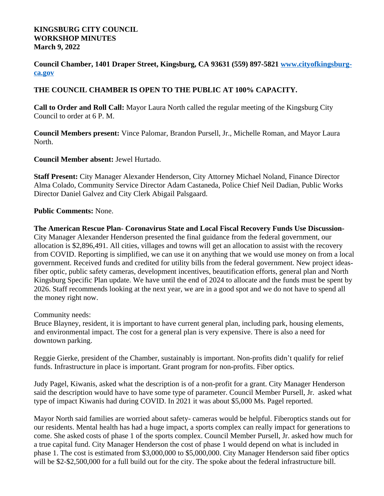## **KINGSBURG CITY COUNCIL WORKSHOP MINUTES March 9, 2022**

**Council Chamber, 1401 Draper Street, Kingsburg, CA 93631 (559) 897-5821 [www.cityofkingsburg](http://www.cityofkingsburg-ca.gov)ca.gov**

## **THE COUNCIL CHAMBER IS OPEN TO THE PUBLIC AT 100% CAPACITY.**

**Call to Order and Roll Call:** Mayor Laura North called the regular meeting of the Kingsburg City Council to order at 6 P. M.

**Council Members present:** Vince Palomar, Brandon Pursell, Jr., Michelle Roman, and Mayor Laura North.

## **Council Member absent:** Jewel Hurtado.

**Staff Present:** City Manager Alexander Henderson, City Attorney Michael Noland, Finance Director Alma Colado, Community Service Director Adam Castaneda, Police Chief Neil Dadian, Public Works Director Daniel Galvez and City Clerk Abigail Palsgaard.

## **Public Comments:** None.

**The American Rescue Plan- Coronavirus State and Local Fiscal Recovery Funds Use Discussion-**City Manager Alexander Henderson presented the final guidance from the federal government, our allocation is \$2,896,491. All cities, villages and towns will get an allocation to assist with the recovery from COVID. Reporting is simplified, we can use it on anything that we would use money on from a local government. Received funds and credited for utility bills from the federal government. New project ideasfiber optic, public safety cameras, development incentives, beautification efforts, general plan and North Kingsburg Specific Plan update. We have until the end of 2024 to allocate and the funds must be spent by 2026. Staff recommends looking at the next year, we are in a good spot and we do not have to spend all the money right now.

Community needs:

Bruce Blayney, resident, it is important to have current general plan, including park, housing elements, and environmental impact. The cost for a general plan is very expensive. There is also a need for downtown parking.

Reggie Gierke, president of the Chamber, sustainably is important. Non-profits didn't qualify for relief funds. Infrastructure in place is important. Grant program for non-profits. Fiber optics.

Judy Pagel, Kiwanis, asked what the description is of a non-profit for a grant. City Manager Henderson said the description would have to have some type of parameter. Council Member Pursell, Jr. asked what type of impact Kiwanis had during COVID. In 2021 it was about \$5,000 Ms. Pagel reported.

Mayor North said families are worried about safety- cameras would be helpful. Fiberoptics stands out for our residents. Mental health has had a huge impact, a sports complex can really impact for generations to come. She asked costs of phase 1 of the sports complex. Council Member Pursell, Jr. asked how much for a true capital fund. City Manager Henderson the cost of phase 1 would depend on what is included in phase 1. The cost is estimated from \$3,000,000 to \$5,000,000. City Manager Henderson said fiber optics will be \$2-\$2,500,000 for a full build out for the city. The spoke about the federal infrastructure bill.